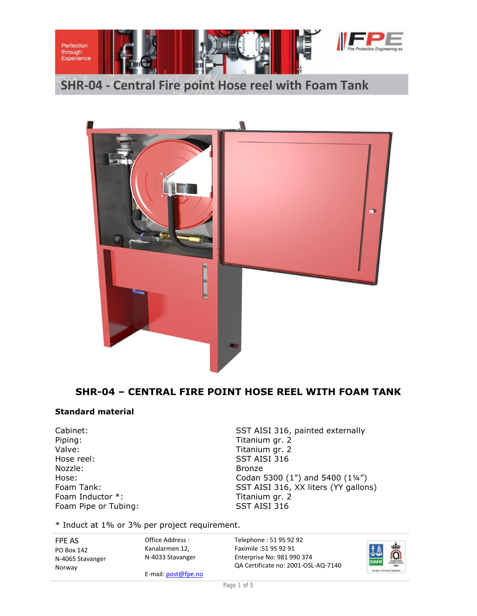



# **SHR-04 – CENTRAL FIRE POINT HOSE REEL WITH FOAM TANK**

#### **Standard material**

Piping: Titanium gr. 2 Valve: Valve: Titanium gr. 2 Hose reel: SST AISI 316 Nozzle: Bronze Foam Inductor \*: Titanium gr. 2 Foam Pipe or Tubing: SST AISI 316

Cabinet: Cabinet: SST AISI 316, painted externally Hose: Codan 5300 (1") and 5400 (1¼") Foam Tank: SST AISI 316, XX liters (YY gallons)

\* Induct at 1% or 3% per project requirement.

FPE AS PO Box 142 N-4065 Stavanger Norway

Kanalarmen 12, N-4033 Stavanger

E-mail: post@fpe.no

Office Address :

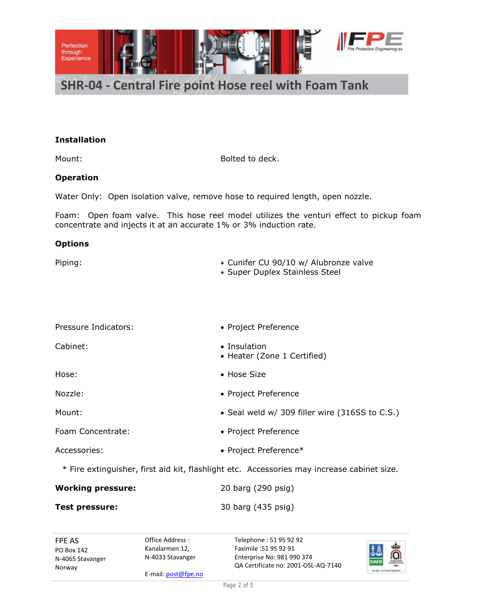

#### **Installation**

Mount: Bolted to deck.

#### **Operation**

Water Only: Open isolation valve, remove hose to required length, open nozzle.

Foam: Open foam valve. This hose reel model utilizes the venturi effect to pickup foam concentrate and injects it at an accurate 1% or 3% induction rate.

#### **Options**

| Piping: | • Cunifer CU 90/10 w/ Alubronze valve |
|---------|---------------------------------------|
|         | • Super Duplex Stainless Steel        |

| Pressure Indicators: | • Project Preference                                                                       |
|----------------------|--------------------------------------------------------------------------------------------|
| Cabinet:             | $\bullet$ Insulation<br>• Heater (Zone 1 Certified)                                        |
| Hose:                | • Hose Size                                                                                |
| Nozzle:              | • Project Preference                                                                       |
| Mount:               | • Seal weld w/ 309 filler wire (316SS to C.S.)                                             |
| Foam Concentrate:    | • Project Preference                                                                       |
| Accessories:         | • Project Preference*                                                                      |
|                      | * Fire extinguisher, first aid kit, flashlight etc. Accessories may increase cabinet size. |

| <b>Working pressure:</b> | 20 barg (290 psig) |
|--------------------------|--------------------|
| Test pressure:           | 30 barg (435 psig) |

FPE AS PO Box 142 N-4065 Stavanger Norway

Office Address : Kanalarmen 12, N-4033 Stavanger

E-mail: post@fpe.no

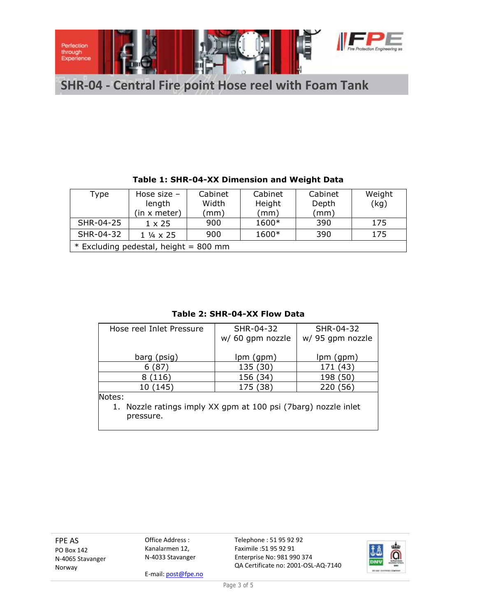

| Type                                  | Hose size $-$            | Cabinet | Cabinet | Cabinet | Weight |
|---------------------------------------|--------------------------|---------|---------|---------|--------|
|                                       | length                   | Width   | Height  | Depth   | (kg)   |
|                                       | (in x meter)             | (mm)    | (mm)    | (mm)    |        |
| SHR-04-25                             | $1 \times 25$            | 900     | 1600*   | 390     | 175    |
| SHR-04-32                             | $1\frac{1}{4} \times 25$ | 900     | 1600*   | 390     | 175    |
| * Excluding pedestal, height = 800 mm |                          |         |         |         |        |

## **Table 1: SHR-04-XX Dimension and Weight Data**

### **Table 2: SHR-04-XX Flow Data**

| Hose reel Inlet Pressure                                                              | SHR-04-32<br>w/ 60 gpm nozzle | SHR-04-32<br>w/ 95 gpm nozzle |  |  |
|---------------------------------------------------------------------------------------|-------------------------------|-------------------------------|--|--|
| barg (psig)                                                                           | lpm (gpm)                     | lpm (gpm)                     |  |  |
| 6(87)                                                                                 | 135 (30)                      | 171 (43)                      |  |  |
| (116)<br>8                                                                            | 156 (34)                      | 198 (50)                      |  |  |
| 10 (145)                                                                              | 175 (38)                      | 220 (56)                      |  |  |
| Notes:<br>1. Nozzle ratings imply XX gpm at 100 psi (7barg) nozzle inlet<br>pressure. |                               |                               |  |  |

FPE AS PO Box 142 N-4065 Stavanger Norway

Office Address : Kanalarmen 12, N-4033 Stavanger

E-mail: post@fpe.no

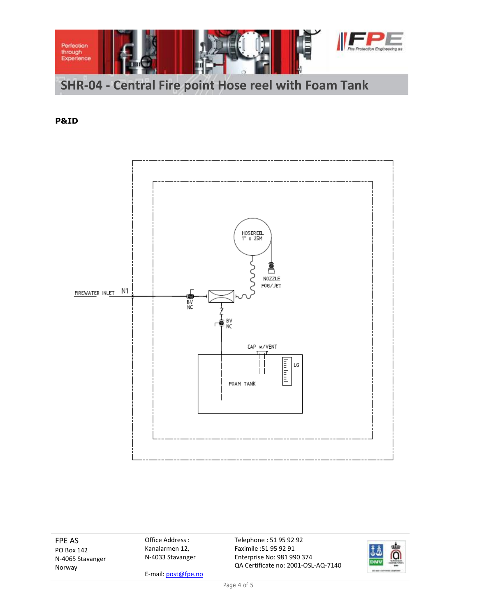

**P&ID**



FPE AS PO Box 142 N-4065 Stavanger Norway

Office Address : Kanalarmen 12, N-4033 Stavanger